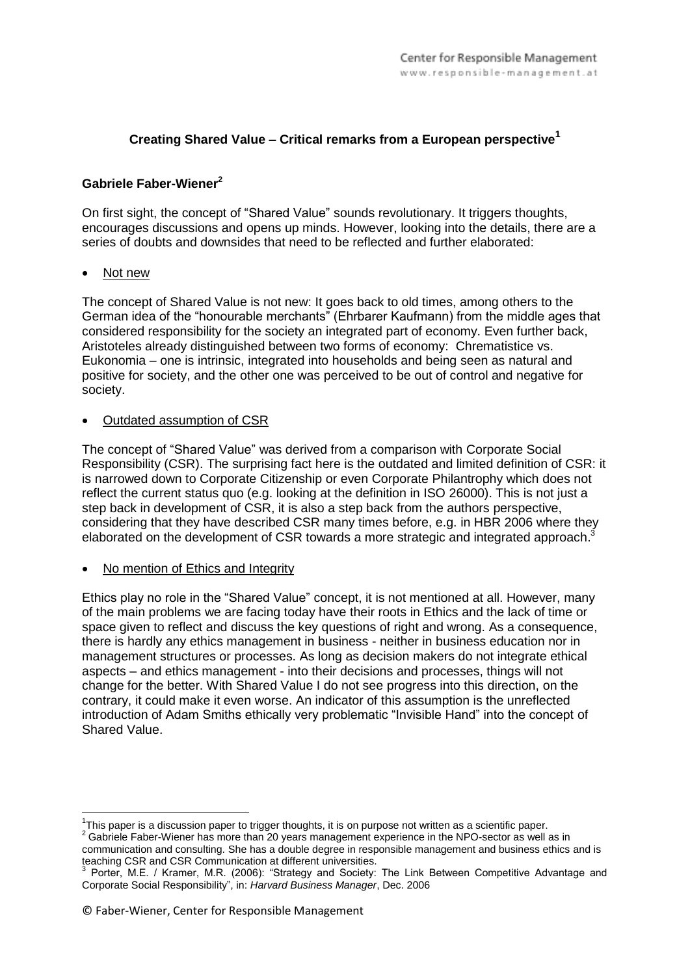# **Creating Shared Value – Critical remarks from a European perspective<sup>1</sup>**

## **Gabriele Faber-Wiener<sup>2</sup>**

On first sight, the concept of "Shared Value" sounds revolutionary. It triggers thoughts, encourages discussions and opens up minds. However, looking into the details, there are a series of doubts and downsides that need to be reflected and further elaborated:

#### Not new

The concept of Shared Value is not new: It goes back to old times, among others to the German idea of the "honourable merchants" (Ehrbarer Kaufmann) from the middle ages that considered responsibility for the society an integrated part of economy. Even further back, Aristoteles already distinguished between two forms of economy: Chrematistice vs. Eukonomia – one is intrinsic, integrated into households and being seen as natural and positive for society, and the other one was perceived to be out of control and negative for society.

#### Outdated assumption of CSR

The concept of "Shared Value" was derived from a comparison with Corporate Social Responsibility (CSR). The surprising fact here is the outdated and limited definition of CSR: it is narrowed down to Corporate Citizenship or even Corporate Philantrophy which does not reflect the current status quo (e.g. looking at the definition in ISO 26000). This is not just a step back in development of CSR, it is also a step back from the authors perspective, considering that they have described CSR many times before, e.g. in HBR 2006 where they elaborated on the development of CSR towards a more strategic and integrated approach.<sup>3</sup>

No mention of Ethics and Integrity

Ethics play no role in the "Shared Value" concept, it is not mentioned at all. However, many of the main problems we are facing today have their roots in Ethics and the lack of time or space given to reflect and discuss the key questions of right and wrong. As a consequence, there is hardly any ethics management in business - neither in business education nor in management structures or processes. As long as decision makers do not integrate ethical aspects – and ethics management - into their decisions and processes, things will not change for the better. With Shared Value I do not see progress into this direction, on the contrary, it could make it even worse. An indicator of this assumption is the unreflected introduction of Adam Smiths ethically very problematic "Invisible Hand" into the concept of Shared Value.

**<sup>.</sup>** <sup>1</sup>This paper is a discussion paper to trigger thoughts, it is on purpose not written as a scientific paper.

<sup>2</sup> Gabriele Faber-Wiener has more than 20 years management experience in the NPO-sector as well as in communication and consulting. She has a double degree in responsible management and business ethics and is teaching CSR and CSR Communication at different universities.

<sup>&</sup>lt;sup>3</sup> Porter, M.E. / Kramer, M.R. (2006): "Strategy and Society: The Link Between Competitive Advantage and Corporate Social Responsibility", in: *Harvard Business Manager*, Dec. 2006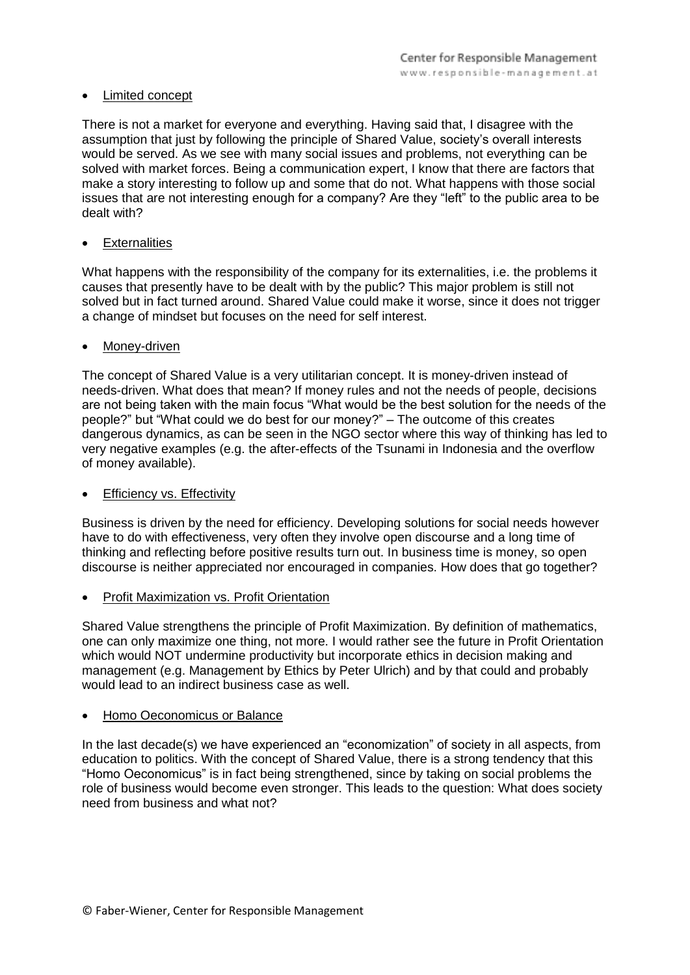### Limited concept

There is not a market for everyone and everything. Having said that, I disagree with the assumption that just by following the principle of Shared Value, society's overall interests would be served. As we see with many social issues and problems, not everything can be solved with market forces. Being a communication expert, I know that there are factors that make a story interesting to follow up and some that do not. What happens with those social issues that are not interesting enough for a company? Are they "left" to the public area to be dealt with?

### **Externalities**

What happens with the responsibility of the company for its externalities, i.e. the problems it causes that presently have to be dealt with by the public? This major problem is still not solved but in fact turned around. Shared Value could make it worse, since it does not trigger a change of mindset but focuses on the need for self interest.

#### Money-driven

The concept of Shared Value is a very utilitarian concept. It is money-driven instead of needs-driven. What does that mean? If money rules and not the needs of people, decisions are not being taken with the main focus "What would be the best solution for the needs of the people?" but "What could we do best for our money?" – The outcome of this creates dangerous dynamics, as can be seen in the NGO sector where this way of thinking has led to very negative examples (e.g. the after-effects of the Tsunami in Indonesia and the overflow of money available).

### Efficiency vs. Effectivity

Business is driven by the need for efficiency. Developing solutions for social needs however have to do with effectiveness, very often they involve open discourse and a long time of thinking and reflecting before positive results turn out. In business time is money, so open discourse is neither appreciated nor encouraged in companies. How does that go together?

## Profit Maximization vs. Profit Orientation

Shared Value strengthens the principle of Profit Maximization. By definition of mathematics, one can only maximize one thing, not more. I would rather see the future in Profit Orientation which would NOT undermine productivity but incorporate ethics in decision making and management (e.g. Management by Ethics by Peter Ulrich) and by that could and probably would lead to an indirect business case as well.

## Homo Oeconomicus or Balance

In the last decade(s) we have experienced an "economization" of society in all aspects, from education to politics. With the concept of Shared Value, there is a strong tendency that this "Homo Oeconomicus" is in fact being strengthened, since by taking on social problems the role of business would become even stronger. This leads to the question: What does society need from business and what not?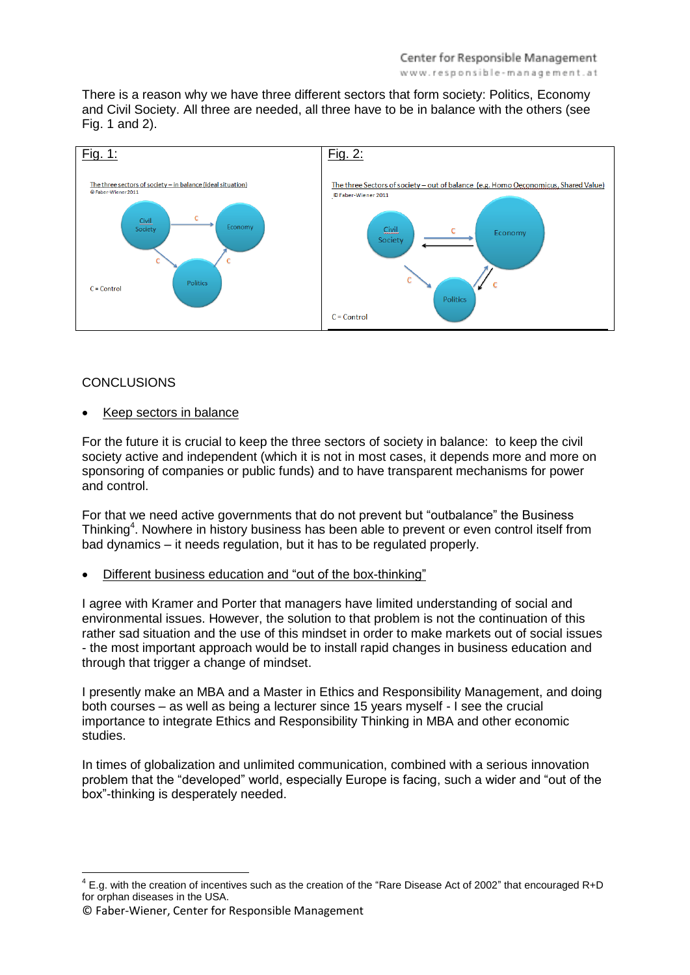There is a reason why we have three different sectors that form society: Politics, Economy and Civil Society. All three are needed, all three have to be in balance with the others (see Fig. 1 and 2).



# **CONCLUSIONS**

 $\overline{\phantom{a}}$ 

#### Keep sectors in balance

For the future it is crucial to keep the three sectors of society in balance: to keep the civil society active and independent (which it is not in most cases, it depends more and more on sponsoring of companies or public funds) and to have transparent mechanisms for power and control.

For that we need active governments that do not prevent but "outbalance" the Business Thinking<sup>4</sup>. Nowhere in history business has been able to prevent or even control itself from bad dynamics – it needs regulation, but it has to be regulated properly.

Different business education and "out of the box-thinking"

I agree with Kramer and Porter that managers have limited understanding of social and environmental issues. However, the solution to that problem is not the continuation of this rather sad situation and the use of this mindset in order to make markets out of social issues - the most important approach would be to install rapid changes in business education and through that trigger a change of mindset.

I presently make an MBA and a Master in Ethics and Responsibility Management, and doing both courses – as well as being a lecturer since 15 years myself - I see the crucial importance to integrate Ethics and Responsibility Thinking in MBA and other economic studies.

In times of globalization and unlimited communication, combined with a serious innovation problem that the "developed" world, especially Europe is facing, such a wider and "out of the box"-thinking is desperately needed.

 $4$  E.g. with the creation of incentives such as the creation of the "Rare Disease Act of 2002" that encouraged R+D for orphan diseases in the USA.

<sup>©</sup> Faber-Wiener, Center for Responsible Management